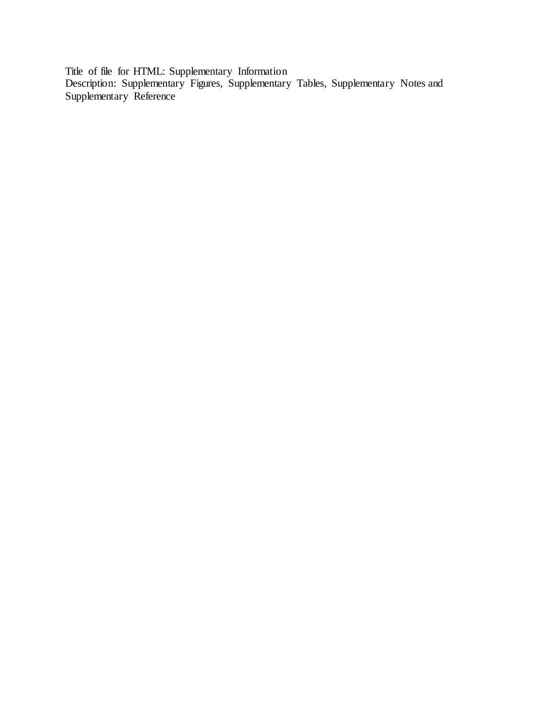Title of file for HTML: Supplementary Information Description: Supplementary Figures, Supplementary Tables, Supplementary Notes and Supplementary Reference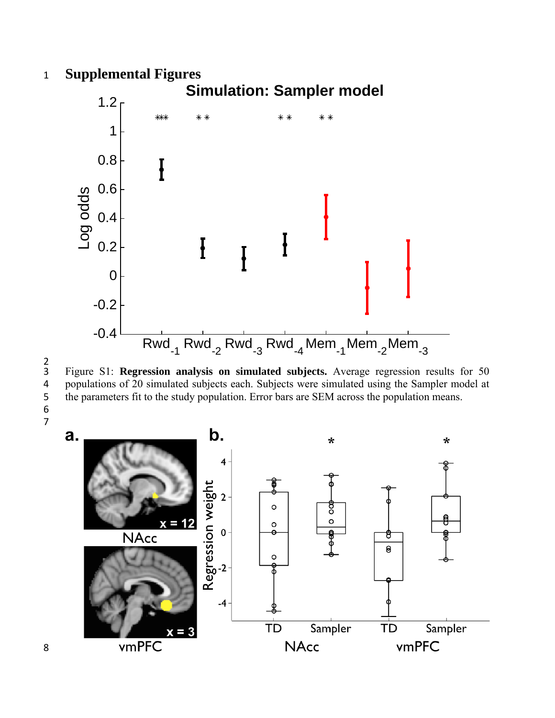### 1 **Supplemental Figures**



 $\frac{2}{3}$ 

6

3 Figure S1: **Regression analysis on simulated subjects.** Average regression results for 50 4 populations of 20 simulated subjects each. Subjects were simulated using the Sampler model at the parameters fit to the study population. Error bars are SEM across the population means. the parameters fit to the study population. Error bars are SEM across the population means.



8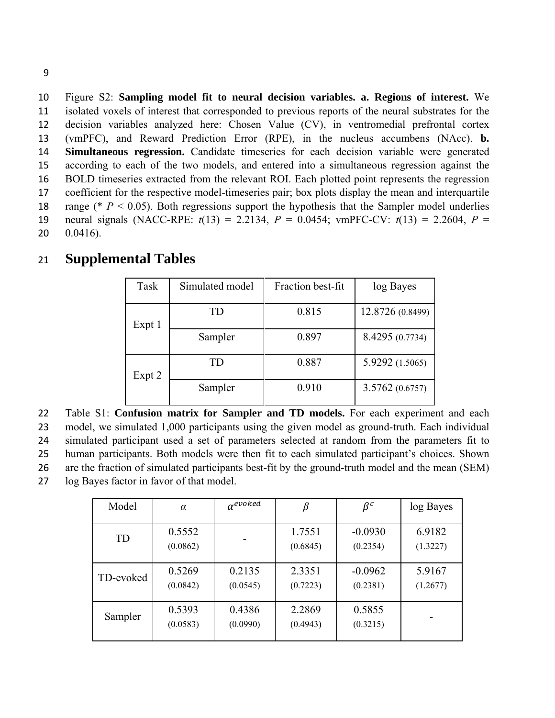Figure S2: **Sampling model fit to neural decision variables. a. Regions of interest.** We isolated voxels of interest that corresponded to previous reports of the neural substrates for the decision variables analyzed here: Chosen Value (CV), in ventromedial prefrontal cortex (vmPFC), and Reward Prediction Error (RPE), in the nucleus accumbens (NAcc). **b. Simultaneous regression.** Candidate timeseries for each decision variable were generated according to each of the two models, and entered into a simultaneous regression against the BOLD timeseries extracted from the relevant ROI. Each plotted point represents the regression coefficient for the respective model-timeseries pair; box plots display the mean and interquartile 18 range (\* *P* < 0.05). Both regressions support the hypothesis that the Sampler model underlies neural signals (NACC-RPE: *t*(13) = 2.2134, *P* = 0.0454; vmPFC-CV: *t*(13) = 2.2604, *P* = 0.0416).

| 21 |  | <b>Supplemental Tables</b> |  |
|----|--|----------------------------|--|
|----|--|----------------------------|--|

| Task   | Simulated model | Fraction best-fit | log Bayes        |  |
|--------|-----------------|-------------------|------------------|--|
| Expt 1 | TD              | 0.815             | 12.8726 (0.8499) |  |
|        | Sampler         | 0.897             | 8.4295 (0.7734)  |  |
| Expt 2 | TD              | 0.887             | 5.9292 (1.5065)  |  |
|        | Sampler         | 0.910             | 3.5762(0.6757)   |  |

Table S1: **Confusion matrix for Sampler and TD models.** For each experiment and each model, we simulated 1,000 participants using the given model as ground-truth. Each individual simulated participant used a set of parameters selected at random from the parameters fit to human participants. Both models were then fit to each simulated participant's choices. Shown are the fraction of simulated participants best-fit by the ground-truth model and the mean (SEM) log Bayes factor in favor of that model.

| Model     | $\alpha$           | $\alpha^{evoked}$  |                    | $\beta^c$             | log Bayes          |
|-----------|--------------------|--------------------|--------------------|-----------------------|--------------------|
| TD        | 0.5552<br>(0.0862) |                    | 1.7551<br>(0.6845) | $-0.0930$<br>(0.2354) | 6.9182<br>(1.3227) |
| TD-evoked | 0.5269<br>(0.0842) | 0.2135<br>(0.0545) | 2.3351<br>(0.7223) | $-0.0962$<br>(0.2381) | 5.9167<br>(1.2677) |
| Sampler   | 0.5393<br>(0.0583) | 0.4386<br>(0.0990) | 2.2869<br>(0.4943) | 0.5855<br>(0.3215)    |                    |

9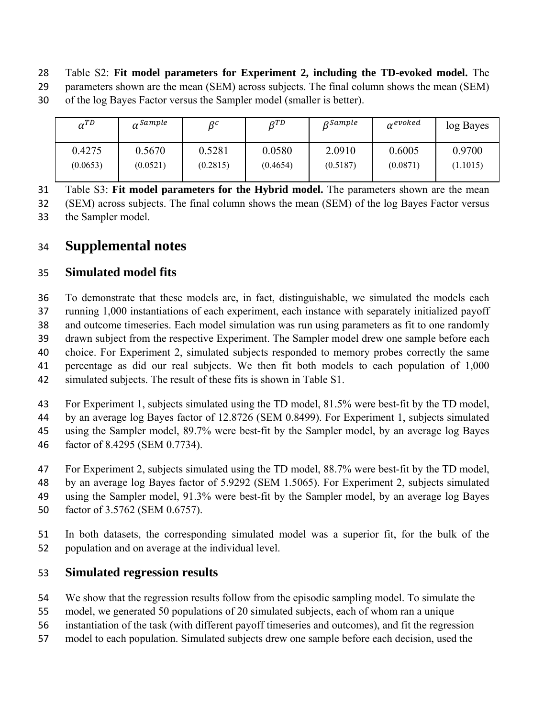- Table S2: **Fit model parameters for Experiment 2, including the TD-evoked model.** The
- 29 parameters shown are the mean (SEM) across subjects. The final column shows the mean (SEM) of the log Bayes Factor versus the Sampler model (smaller is better).

| $\alpha^{TD}$ | $\alpha$ Sample | $\beta^c$ | $R^{TD}$ | $\rho$ Sample | $\alpha^{evoked}$ | log Bayes |
|---------------|-----------------|-----------|----------|---------------|-------------------|-----------|
| 0.4275        | 0.5670          | 0.5281    | 0.0580   | 2.0910        | 0.6005            | 0.9700    |
| (0.0653)      | (0.0521)        | (0.2815)  | (0.4654) | (0.5187)      | (0.0871)          | (1.1015)  |

Table S3: **Fit model parameters for the Hybrid model.** The parameters shown are the mean

(SEM) across subjects. The final column shows the mean (SEM) of the log Bayes Factor versus the Sampler model.

## **Supplemental notes**

### **Simulated model fits**

To demonstrate that these models are, in fact, distinguishable, we simulated the models each running 1,000 instantiations of each experiment, each instance with separately initialized payoff and outcome timeseries. Each model simulation was run using parameters as fit to one randomly drawn subject from the respective Experiment. The Sampler model drew one sample before each choice. For Experiment 2, simulated subjects responded to memory probes correctly the same percentage as did our real subjects. We then fit both models to each population of 1,000 simulated subjects. The result of these fits is shown in Table S1.

For Experiment 1, subjects simulated using the TD model, 81.5% were best-fit by the TD model, by an average log Bayes factor of 12.8726 (SEM 0.8499). For Experiment 1, subjects simulated using the Sampler model, 89.7% were best-fit by the Sampler model, by an average log Bayes factor of 8.4295 (SEM 0.7734).

- For Experiment 2, subjects simulated using the TD model, 88.7% were best-fit by the TD model, by an average log Bayes factor of 5.9292 (SEM 1.5065). For Experiment 2, subjects simulated using the Sampler model, 91.3% were best-fit by the Sampler model, by an average log Bayes factor of 3.5762 (SEM 0.6757).
- In both datasets, the corresponding simulated model was a superior fit, for the bulk of the population and on average at the individual level.

## **Simulated regression results**

- We show that the regression results follow from the episodic sampling model. To simulate the
- model, we generated 50 populations of 20 simulated subjects, each of whom ran a unique
- instantiation of the task (with different payoff timeseries and outcomes), and fit the regression
- model to each population. Simulated subjects drew one sample before each decision, used the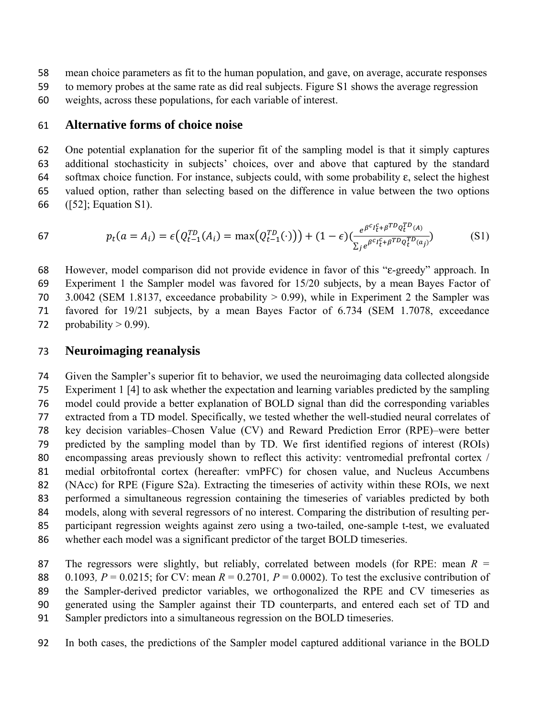- mean choice parameters as fit to the human population, and gave, on average, accurate responses
- to memory probes at the same rate as did real subjects. Figure S1 shows the average regression
- weights, across these populations, for each variable of interest.

#### **Alternative forms of choice noise**

One potential explanation for the superior fit of the sampling model is that it simply captures additional stochasticity in subjects' choices, over and above that captured by the standard softmax choice function. For instance, subjects could, with some probability ε, select the highest valued option, rather than selecting based on the difference in value between the two options ([52]; Equation S1).

67 
$$
p_t(a = A_i) = \epsilon \left( Q_{t-1}^{TD}(A_i) = \max \left( Q_{t-1}^{TD}(\cdot) \right) \right) + (1 - \epsilon) \left( \frac{e^{\beta^c I_t^c + \beta^{TD} Q_t^{TD}(A)}}{\sum_j e^{\beta^c I_t^c + \beta^{TD} Q_t^{TD}(a_j)}} \right) \tag{S1}
$$

However, model comparison did not provide evidence in favor of this "ε-greedy" approach. In Experiment 1 the Sampler model was favored for 15/20 subjects, by a mean Bayes Factor of 3.0042 (SEM 1.8137, exceedance probability > 0.99), while in Experiment 2 the Sampler was favored for 19/21 subjects, by a mean Bayes Factor of 6.734 (SEM 1.7078, exceedance 72 probability  $> 0.99$ ).

### **Neuroimaging reanalysis**

Given the Sampler's superior fit to behavior, we used the neuroimaging data collected alongside Experiment 1 [4] to ask whether the expectation and learning variables predicted by the sampling model could provide a better explanation of BOLD signal than did the corresponding variables extracted from a TD model. Specifically, we tested whether the well-studied neural correlates of key decision variables–Chosen Value (CV) and Reward Prediction Error (RPE)–were better predicted by the sampling model than by TD. We first identified regions of interest (ROIs) encompassing areas previously shown to reflect this activity: ventromedial prefrontal cortex / medial orbitofrontal cortex (hereafter: vmPFC) for chosen value, and Nucleus Accumbens (NAcc) for RPE (Figure S2a). Extracting the timeseries of activity within these ROIs, we next performed a simultaneous regression containing the timeseries of variables predicted by both models, along with several regressors of no interest. Comparing the distribution of resulting per-participant regression weights against zero using a two-tailed, one-sample t-test, we evaluated whether each model was a significant predictor of the target BOLD timeseries.

The regressors were slightly, but reliably, correlated between models (for RPE: mean *R* = 88 0.1093*, P* = 0.0215; for CV: mean  $R = 0.2701$ ,  $P = 0.0002$ ). To test the exclusive contribution of the Sampler-derived predictor variables, we orthogonalized the RPE and CV timeseries as generated using the Sampler against their TD counterparts, and entered each set of TD and Sampler predictors into a simultaneous regression on the BOLD timeseries.

In both cases, the predictions of the Sampler model captured additional variance in the BOLD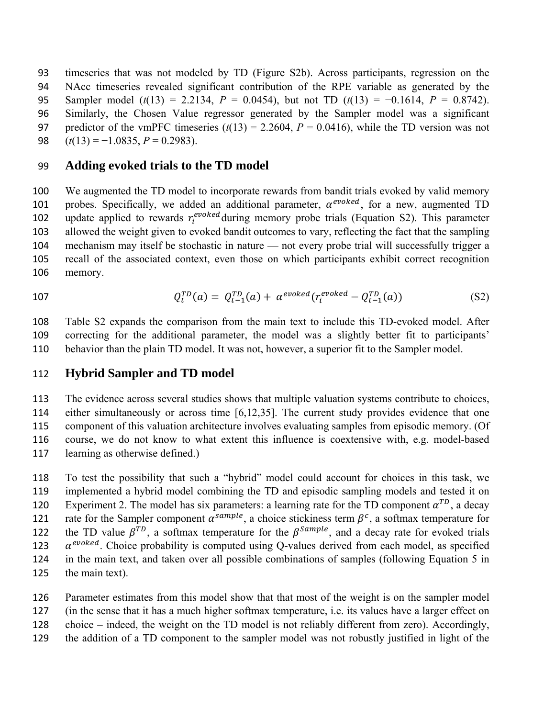timeseries that was not modeled by TD (Figure S2b). Across participants, regression on the NAcc timeseries revealed significant contribution of the RPE variable as generated by the Sampler model (*t*(13) = 2.2134, *P* = 0.0454), but not TD (*t*(13) = −0.1614, *P* = 0.8742). Similarly, the Chosen Value regressor generated by the Sampler model was a significant 97 predictor of the vmPFC timeseries  $(t(13) = 2.2604$ ,  $P = 0.0416$ ), while the TD version was not (*t*(13) = −1.0835, *P* = 0.2983).

#### **Adding evoked trials to the TD model**

We augmented the TD model to incorporate rewards from bandit trials evoked by valid memory 101 probes. Specifically, we added an additional parameter,  $\alpha^{evoked}$ , for a new, augmented TD 102 update applied to rewards  $r_i^{evoked}$  during memory probe trials (Equation S2). This parameter allowed the weight given to evoked bandit outcomes to vary, reflecting the fact that the sampling mechanism may itself be stochastic in nature — not every probe trial will successfully trigger a recall of the associated context, even those on which participants exhibit correct recognition memory.

107 
$$
Q_t^{TD}(a) = Q_{t-1}^{TD}(a) + \alpha^{evoked}(r_i^{evoked} - Q_{t-1}^{TD}(a))
$$
 (S2)

Table S2 expands the comparison from the main text to include this TD-evoked model. After correcting for the additional parameter, the model was a slightly better fit to participants' behavior than the plain TD model. It was not, however, a superior fit to the Sampler model.

#### **Hybrid Sampler and TD model**

The evidence across several studies shows that multiple valuation systems contribute to choices, either simultaneously or across time [6,12,35]. The current study provides evidence that one component of this valuation architecture involves evaluating samples from episodic memory. (Of course, we do not know to what extent this influence is coextensive with, e.g. model-based learning as otherwise defined.)

To test the possibility that such a "hybrid" model could account for choices in this task, we implemented a hybrid model combining the TD and episodic sampling models and tested it on 120 Experiment 2. The model has six parameters: a learning rate for the TD component  $\alpha^{TD}$ , a decay 121 rate for the Sampler component  $\alpha^{sample}$ , a choice stickiness term  $\beta^c$ , a softmax temperature for 122 the TD value  $\beta^{TD}$ , a softmax temperature for the  $\beta^{Sample}$ , and a decay rate for evoked trials  $\alpha^{evoked}$ . Choice probability is computed using Q-values derived from each model, as specified in the main text, and taken over all possible combinations of samples (following Equation 5 in the main text).

Parameter estimates from this model show that that most of the weight is on the sampler model

(in the sense that it has a much higher softmax temperature, i.e. its values have a larger effect on

choice – indeed, the weight on the TD model is not reliably different from zero). Accordingly,

the addition of a TD component to the sampler model was not robustly justified in light of the